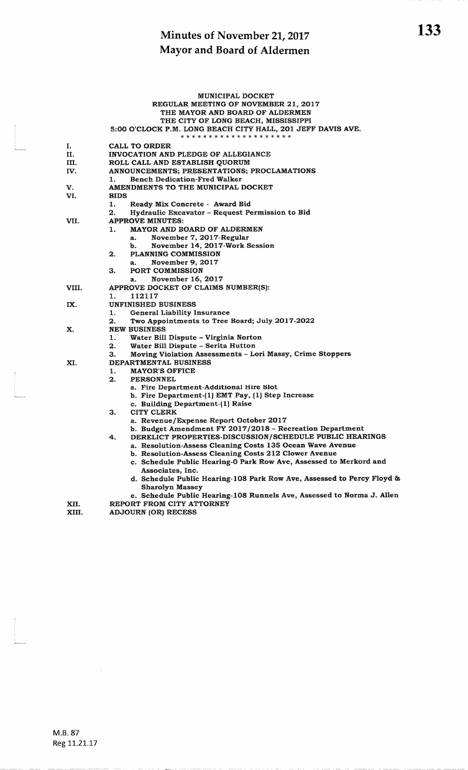|       |             | <b>MUNICIPAL DOCKET</b>                                                                                |
|-------|-------------|--------------------------------------------------------------------------------------------------------|
|       |             | REGULAR MEETING OF NOVEMBER 21, 2017                                                                   |
|       |             | THE MAYOR AND BOARD OF ALDERMEN                                                                        |
|       |             | THE CITY OF LONG BEACH, MISSISSIPPI                                                                    |
|       |             | 5:00 O'CLOCK P.M. LONG BEACH CITY HALL, 201 JEFF DAVIS AVE.<br>* * * * * * * * * * * * * * * * * * * * |
| I.    |             | CALL TO ORDER                                                                                          |
| П.    |             | INVOCATION AND PLEDGE OF ALLEGIANCE                                                                    |
| ш.    |             | ROLL CALL AND ESTABLISH QUORUM                                                                         |
| IV.   |             | ANNOUNCEMENTS; PRESENTATIONS; PROCLAMATIONS                                                            |
| V.    | 1.          | <b>Bench Dedication-Fred Walker</b><br>AMENDMENTS TO THE MUNICIPAL DOCKET                              |
| VI.   | <b>BIDS</b> |                                                                                                        |
|       | 1.          | Ready Mix Concrete - Award Bid                                                                         |
|       | 2.          | Hydraulic Excavator - Request Permission to Bid                                                        |
| VII.  |             | <b>APPROVE MINUTES:</b>                                                                                |
|       | 1.          | MAYOR AND BOARD OF ALDERMEN                                                                            |
|       |             | November 7, 2017-Regular<br>a.                                                                         |
|       |             | November 14, 2017-Work Session<br>b.                                                                   |
|       | 2.          | <b>PLANNING COMMISSION</b>                                                                             |
|       |             | November 9, 2017<br>a.                                                                                 |
|       | З.          | PORT COMMISSION                                                                                        |
|       |             | November 16, 2017<br>а.                                                                                |
| VIII. |             | APPROVE DOCKET OF CLAIMS NUMBER(S):                                                                    |
|       | 1.          | 112117                                                                                                 |
| IX.   |             | <b>UNFINISHED BUSINESS</b>                                                                             |
|       | 1.          | <b>General Liability Insurance</b>                                                                     |
|       | 2.          | Two Appointments to Tree Board; July 2017-2022                                                         |
| x.    |             | <b>NEW BUSINESS</b>                                                                                    |
|       | 1.          | Water Bill Dispute – Virginia Norton                                                                   |
|       | 2.          | Water Bill Dispute - Serita Hutton                                                                     |
|       | З.          | Moving Violation Assessments - Lori Massy, Crime Stoppers<br><b>DEPARTMENTAL BUSINESS</b>              |
| XI.   | 1.          | <b>MAYOR'S OFFICE</b>                                                                                  |
|       | 2.          | <b>PERSONNEL</b>                                                                                       |
|       |             | a. Fire Department-Additional Hire Slot                                                                |
|       |             | b. Fire Department-(1) EMT Pay, (1) Step Increase                                                      |
|       |             | c. Building Department-(1) Raise                                                                       |
|       | З.          | <b>CITY CLERK</b>                                                                                      |
|       |             | a. Revenue/Expense Report October 2017                                                                 |
|       |             | b. Budget Amendment FY 2017/2018 - Recreation Department                                               |
|       | 4.          | DERELICT PROPERTIES-DISCUSSION/SCHEDULE PUBLIC HEARINGS                                                |
|       |             | a. Resolution-Assess Cleaning Costs 135 Ocean Wave Avenue                                              |
|       |             | b. Resolution-Assess Cleaning Costs 212 Clower Avenue                                                  |
|       |             | c. Schedule Public Hearing-O Park Row Ave, Assessed to Merkord and                                     |
|       |             | Associates, Inc.                                                                                       |
|       |             | d. Schedule Public Hearing-108 Park Row Ave, Assessed to Percy Floyd &                                 |
|       |             | <b>Sharolyn Massey</b>                                                                                 |
|       |             | e. Schedule Public Hearing-108 Runnels Ave, Assessed to Norma J. Allen                                 |
| XII.  |             | REPORT FROM CITY ATTORNEY                                                                              |
| XIII. |             | <b>ADJOURN (OR) RECESS</b>                                                                             |
|       |             |                                                                                                        |

&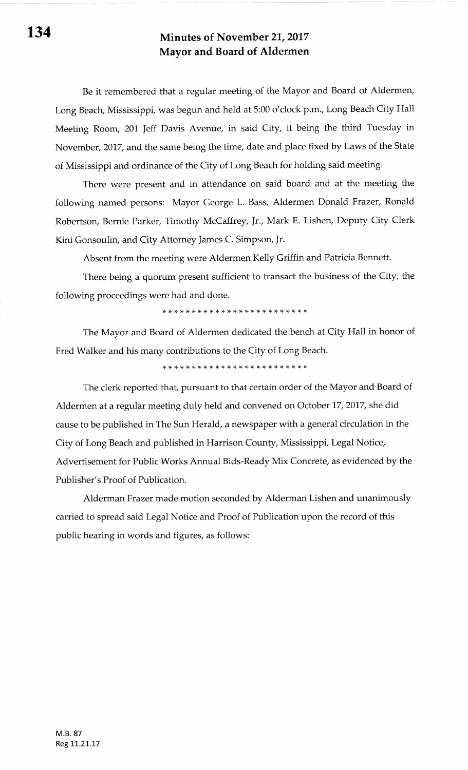Be it remembered that a regular meeting of the Mayor and Board of Aldermen, Long Beach, Mississippi, was begun and held at 5:00 o'clock p.m., Long Beach City Hall Meeting Room, 201, Jeff Davis Avenue, in said City, it being the third Tuesday in November,2017, and the same being the time, date and place fixed by Laws of the State of Mississippi and ordinance of the City of Long Beach for holding said meeting.

There were present and in attendance on said board and at the meeting the following named persons: Mayor George L. Bass, Aldermen Donald Frazer, Ronald Robertson, Bernie Parker, Timothy McCaffrey, Jr., Mark E. Lishen, Deputy City Clerk Kini Gonsoulin, and City Attorney James C. Simpson, Jr.

Absent from the meeting were Aldermen Kelly Griffin and Patricia Bennett.

There being a quorum present sufficient to transact the business of the City, the following proceedings were had and done.

\* \* \* rF )F )F \* \* \* \* r+ \* \* rF rF rr \* \* )t tt rF rF )F )F \*

The Mayor and Board of Aldermen dedicated the bench at City Hall in honor of Fred Walker and his many contributions to the City of Long Beach.

r\$ )F rF rF \* \* \* \* \* )t \* \* rF )F )F \* \* \* r+ tF !T tF tF r+ rF

The clerk reported that, pursuant to that certain order of the Mayor and Board of Aldermen at a regular meeting duly held and convened on October 17,2017, she did cause to be published in The Sun Herald, a newspaper with a general circulation in the City of Long Beach and published in Harrison County, Mississippi, Legal Notice, Advertisement for Public Works Annual Bids-Ready Mix Concrete, as evidenced by the Publisher's Proof of Publication.

Alderman Frazer made motion seconded by Alderman Lishen and unanimously carried to spread said Legal Notice and Proof of Publication upon the record of this public hearing in words and figures, as follows: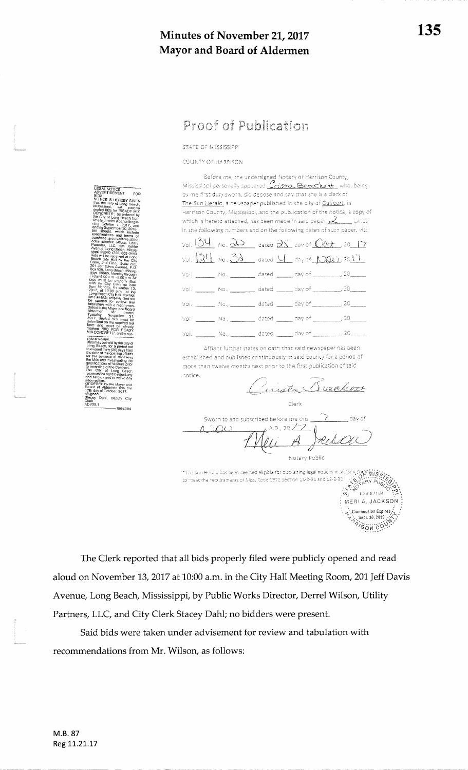STATE OF MISSISSIPP

COUNTY OF HARRISON

Before me, the undersigned Notary of Harrison County,<br>Mississippi personally appeared  $\overline{\mathcal{C}}$ ristro,  $\overline{\mathbb{B}}$ reack,  $\mathcal{H}_k$ , who, being by me first duly sworn, did depose and say that she is a clerk of The Sun Herald, a newspaper published in the city of Guifoort, in Harrison County, Mississippi, and the publication of the notice, a copy of which is hereto attached, has been made in said paper  $\gtrsim$  times in the following numbers and on the following dates of such paper, viz: Vol.  $\underline{\frac{34}{24}}$  No.,  $\underline{\frac{36}{2}}$  dated  $\underline{\frac{35}{2}}$  day of  $\underline{\frac{66+1}{20}}$ , 20 17  $V$ ol.  $\frac{134}{12}$  No.  $\frac{33}{12}$  dated  $\frac{11}{12}$  day of  $N$   $\frac{100}{12}$  2017 Vol. \_\_\_\_\_\_\_\_ No., \_\_\_\_\_\_\_\_\_\_ dated \_\_\_\_\_\_\_ day of \_\_\_\_\_\_  $\rightarrow$  20 Vol. \_\_\_\_\_\_\_\_ No., \_\_\_\_\_\_\_\_\_\_ dated \_\_\_\_\_\_ day of \_\_\_\_  $\frac{1}{20}$ , 20 \_\_ dated \_\_\_\_\_ day of \_\_\_  $\equiv$  No.,  $\equiv$  $\overline{\phantom{0}}$ , 20 $\overline{\phantom{0}}$ Voi.  $\mathsf{Vol}(\mathbb{Z})$ \_\_\_ No., \_\_\_\_\_\_\_\_\_\_ dated \_\_\_\_\_\_ day of \_\_\_  $\frac{1}{20}$  $.20$ vol.

Affiant further states on oath that said newspaper has been established and published continuously in said county for a period of more than twelve months next prior to the first publication of said hotice.

Justa Sacked

Clerk

Sworn to and subscribed before me this dav of , A.D., 20  $\nearrow$  $A^{\circlearrowright}OC$ Notary Public

The Sun Heraid has been deemed eligible for publishing legal notices in Jackson Doublett 18:3:<br>The Sun Heraid has been deemed eligible for publishing legal notices in Jackson Doublett 18:3:<br>A Windows (2013)<br>The # 87184 to meet the requirements of Miss. Code 1972 Section 13-3-31 and 13-3-32 MERIA. JACKSON Commission Expires Sept. 30, 2019

Sept. 30, 2013

The Clerk reported that all bids properly filed were publicly opened and read aloud on November 13, 2017 at 10:00 a.m. in the City Hall Meeting Room, 201 Jeff Davis Avenue, Long Beach, Mississippi, by Public Works Director, Derrel Wilson, Utility Partners, LLC, and City Clerk Stacey Dahl; no bidders were present.

Said bids were taken under advisement for review and tabulation with recommendations from Mr. Wilson, as follows:

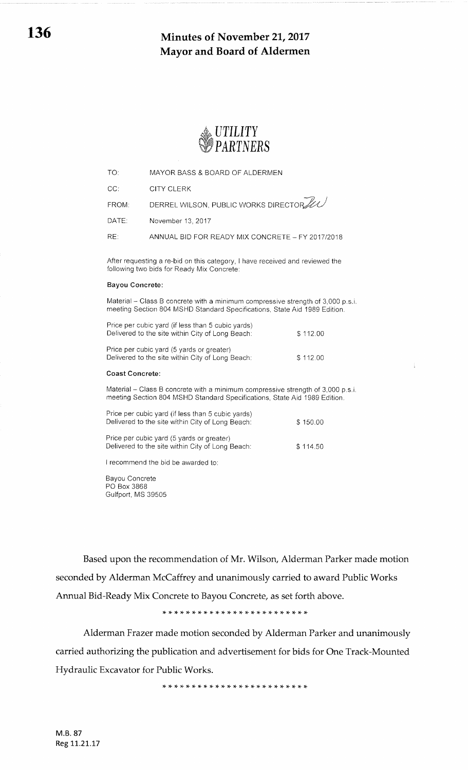

| TO:   | MAYOR BASS & BOARD OF ALDERMEN                   |
|-------|--------------------------------------------------|
| CC:   | CITY CLERK                                       |
| FROM: | DERREL WILSON, PUBLIC WORKS DIRECTOR             |
| DATE: | November 13, 2017                                |
| RE:   | ANNUAL BID FOR READY MIX CONCRETE - FY 2017/2018 |

After requesting a re-bid on this category, I have received and reviewed the following two bids for Ready Mix Concrete:

#### Bayou Concrete

Material - Class B concrete with a minimum compressive strength of 3,000 p.s.i. meeting Section 804 MSHD Standard Specifications, State Aid 1989 Edition.

| Price per cubic yard (if less than 5 cubic yards)<br>Delivered to the site within City of Long Beach: | \$112.00 |
|-------------------------------------------------------------------------------------------------------|----------|
| Price per cubic yard (5 yards or greater)                                                             |          |

Delivered to the site within City of Long Beach: \$ 112.00

### Coast Concrete:

Material - Class B concrete with a minimum compressive strength of 3,000 p.s.i. meeting Section 804 MSHD Standard Specifications, State Aid '1989 Edition.

| Price per cubic yard (if less than 5 cubic yards)<br>Delivered to the site within City of Long Beach: | \$150.00 |
|-------------------------------------------------------------------------------------------------------|----------|
| Price per cubic yard (5 yards or greater)<br>Delivered to the site within City of Long Beach:         | \$114.50 |

I recommend the bid be awarded to:

Bayou Concrete PO Box 3868 Gulfport, MS 39505

Based upon the recommendation of Mr. Wilson, Alderman Parker made motion seconded by Alderman McCaffrey and unanimously carried to award Public Works Annual Bid-Ready Mix Concrete to Bayou Concrete, as set forth above.

\* \* rF rt \* \* \* \* \* \* \* \* \* \* \* \*\*\* \* \* \* \* \* )F rF

Alderman Frazer made motion seconded by Alderman Parker and unanimously carried authorizing the publication and advertisement for bids for One Track-Mounted Hydraulic Excavator for Public Works.

\* rF )F )t )F \* )F \* rF \* \* \* )t \* \* rF rF rF rF )F rT )F \* \* \*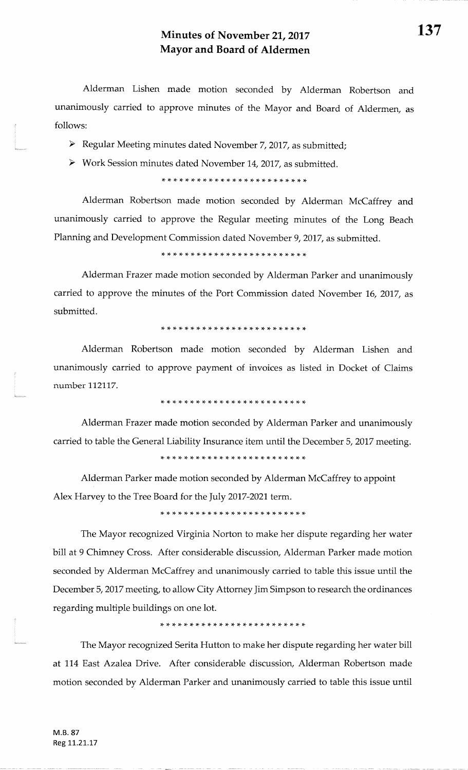Alderman Lishen made motion seconded by Alderman Robertson andunanimously carried to approve minutes of the Mayor and Board of Aldermen, asfollows:

- $\triangleright$  Regular Meeting minutes dated November 7, 2017, as submitted;
- $\triangleright$  Work Session minutes dated November 14, 2017, as submitted.

\* \* ri )t rF \* \* \* rF :F )t \* \* \* )F rt rT \* \* \* rt rF rF rT \*

Alderman Robertson made motion seconded by Alderman McCaffrey andunanimously carried to approve the Regular meeting minutes of the Long BeachPlanning and Development Commission dated November 9,2017, as submitted.

\* \* ri :t rF \* \* \* \* \* \* \* \* rF \* \* \* \* \* rt rt \* \* \* \*

Alderman Frazer made motion seconded by Alderman Parker and unanimouslycarried to approve the minutes of the Port Commission dated November 16, 2017, as submitted.

### \* rt \* )F \* )t \* rF \* \* \* \* \* \* rF rF rr rF \* iF rT \* rF :T rT

Alderman Robertson made motion seconded by Alderman Lishen andunanimously carried to approve payment of invoices as listed in Docket of Claimsnumber 112117.

\* \* ri :F rF rt rF rt rF )F )T \* r{- rF \* \* \* \* \* \* \* \* \* \* \*

Alderman Frazer made motion seconded by Alderman Parker and unanimouslycarried to table the General Liability Insurance item until the December 5, 2017 meeting.

t\$ \* rF\*\* \*\* \* \* \* \* \* \* \* \* \*\* \* )F )t\* \* \* \* rF

Alderman Parker made motion seconded by Alderman McCaffrey to appointAlex Harvey to the Tree Board for the July 2017-2021 term.

\* \* \* \* \* \* rt \* \* rt \* \* \* rF )F rF :t rt )t )F rF rt rT rf ,\$

The Mayor recognized Virginia Norton to make her dispute regarding her waterbill at 9 Chimney Cross. After considerable discussion, Alderman Parker made motion seconded by Alderman McCaffrey and unanimously carried to table this issue until theDecember 5, 2017 meeting, to allow City Attorney Jim Simpson to research the ordinances regarding multiple buildings on one lot.

,F )F ,F 'T ,F ,F ,F ,F 'F 'F 'F 'F 'T ,F ,F ,F ,F ,F 'F 'F 'F ,F ,T ,6 !F

The Mayor recognized Serita Hutton to make her dispute regarding her water billat 114 East Azalea Drive. After considerable discussion, Alderman Robertson made motion seconded by Alderman Parker and unanimously carried to table this issue until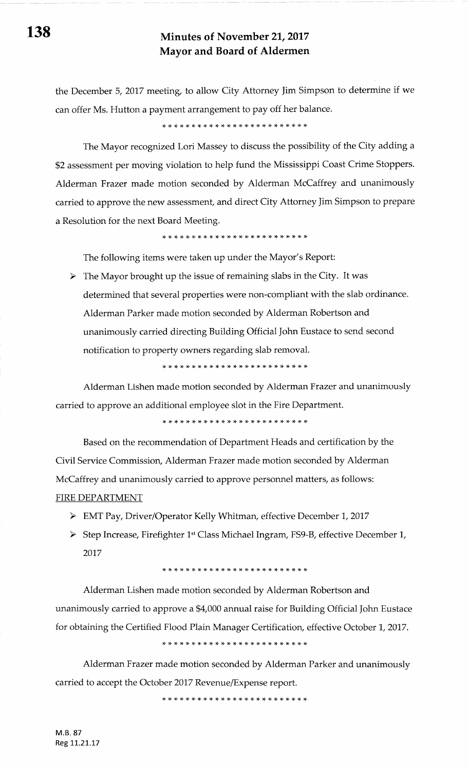the December 5,2017 meeting, to allow City Attorney ]im Simpson to determine if we can offer Ms. Hutton a payment arrangement to pay off her balance.

\* \* \* \* )i \* tF \* \* \* rt )t :F {' \* rf \* \* rF \* rF rt \* \* \*

The Mayor recognized Lori Massey to discuss the possibility of the City adding a \$2 assessment per moving violation to help fund the Mississippi Coast Crime Stoppers. Alderman Frazer made motion seconded by Alderman McCaffrey and unanimously carried to approve the new assessment, and direct City Attorney Jim Simpson to prepare a Resolution for the next Board Meeting.

)F )F \* \* \* \* \* rF \* rF \* \* \* \* \* \* rF )F )F \* \* \* \* \* \*

The following items were taken up under the Mayor's Report:

> The Mayor brought up the issue of remaining slabs in the City. It was determined that several properties were non-compliant with the slab ordinance Alderman Parker made motion seconded by Alderman Robertson and unanimously carried directing Building Official John Eustace to send second notification to property owners regarding slab removal.

\* \* \* !+ rF r+ rF rF rF !F rF rt rF \* \* \* \* rF )F \* rF rF )F )F {-

Alderman Lishen made motion seconded by Alderman Frazer and unanimously carried to approve an additional employee slot in the Fire Department.

rt {. rt {. rF rF ?F rt \* rF \* rF \* \* \* \* \* \* \* :t )F )F rF rF )t

Based on the recommendation of Department Heads and certification by the Civil Service Commission, Alderman Frazer made motion seconded by Alderman McCaffrey and unanimously carried to approve personnel matters, as follows: FIRE DEPARTMENT

- > EMT Pay, Driver/Operator Kelly Whitman, effective December 1, 2017
- > Step Increase, Firefighter 1<sup>st</sup> Class Michael Ingram, FS9-B, effective December 1, 2017

### )F !g )F )F ,F ,F t+ l+. ,F tF ,1. ,F ,F ,F tT ta. t(. )F ,T !T tg !4. {- ,T tF

Alderman Lishen made motion seconded by Alderman Robertson and unanimously carried to approve a \$4,000 annual raise for Building Official ]ohn Eustace for obtaining the Certified Flood Plain Manager Certification, effective October 1, 2017.

\* \* \* rF \* \* \* \* \* \* !s )T re rg rT rF rF rF ra. ra. r{. x- r{. {. r(-

Alderman Frazer made motion seconded by Alderman Parker and unanimously carried to accept the October 2017 Revenue/Expense report.

\* \* \* rf )F )F )F )F {- rl- \* !F {- \* \* \* \* \* rf \* \* rF rF rF rF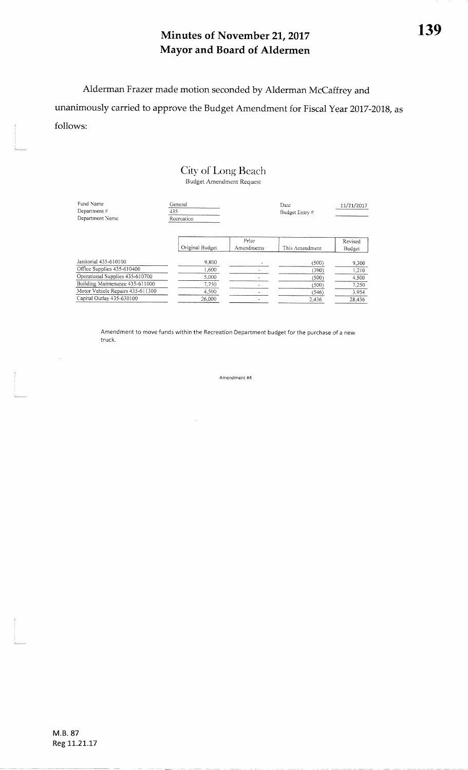Alderman Frazer made motion seconded by Alderman McCaffrey and unanimously carried to approve the Budget Amendment for Fiscal Year 2017-2018, as follows:

### City of Long Beach Budget Amendment Request

| Fund Name<br>Department #<br>Department Name | General<br>435<br>Recreation |                     | Date<br>Budget Entry # | 11/21/2017        |  |
|----------------------------------------------|------------------------------|---------------------|------------------------|-------------------|--|
|                                              | Original Budget              | Prior<br>Amendments | This Amendment         | Revised<br>Budget |  |
| Janitorial 435-610100                        | 9,800                        |                     | (500)                  | 9,300             |  |
| Office Supplies 435-610400                   | 1.600                        |                     | (390)                  | 1,210             |  |
| Operational Supplies 435-610700              | 5.000                        |                     | (500)                  | 4.500             |  |
| Building Maintenance 435-611000              | 7.750                        |                     | (500)                  | 7,250             |  |
| Motor Vehicle Repairs 435-611300             | 4.500                        |                     | (546)                  | 3.954             |  |
| Capital Outlay 435-630100                    | 26,000                       |                     | 2,436                  | 28.436            |  |

Amendment to move funds within the Recreation Department budget for the purchase of a new truck.

Amendment #4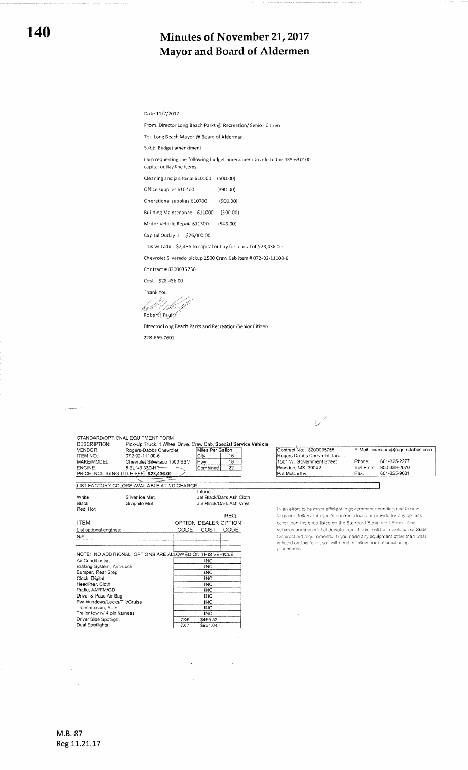#### Date 11/7/2017

From: Director Long Beach Parks @ Recreation/ Senior Citizen

To: Long Beach Mayor @ Board of Alderman

Subj: Budget amendment

I am requesting the following budget amendment to add to the 435-630100

capital outlay line items

Cleaning and janitorial 610100 (500.00) Office supplies 610400 (390.00)

Operational supplies 610700 (500.00)

Building Maintenance 611000 (500.00)

Motor Vehicle Repair 611300 (546.00)

Capital Outlay is \$26,000.00

This will add \$2,436 to capital outlay for a total of \$28,436.00

Chevrolet Silverado pickup 1500 Crew Cab item # 072-02-11100-6

Contract #8200035756

Cost \$28,436.00

Thank You k.l.st /ke

Robert j Paul fr

Director Long Beach Parks and Recreation/Senior Citizen 228-669-7601

> $\hat{\mathcal{A}}$  $\hat{\mathcal{A}}$

| DESCRIPTION:<br>VENDOR:<br>ITEM NO.:          | Pick-Up Truck, 4 Wheel Drive, Crew Cab, Special Service Vehicle<br>Rogers-Dabbs Chevrolet<br>072-02-11100-6 |            | Miles Per Gallon<br>16<br>City |                          | Contract No: 8200035756<br>Rogers Dabbs Chevrolet, Inc.                      | E-Mail: maccars@rogersdabbs.com |                              |
|-----------------------------------------------|-------------------------------------------------------------------------------------------------------------|------------|--------------------------------|--------------------------|------------------------------------------------------------------------------|---------------------------------|------------------------------|
| MAKE/MODEL<br>ENGINE:                         | Chevrolet Silverado 1500 SSV<br>5.3L V8 330 HP                                                              |            | lHwv<br>Combined               | 18<br>22                 | 1501 W. Government Street<br>Brandon, MS 39042                               | Phone:<br>Toll Free:            | 601-825-2277<br>800-489-2070 |
|                                               | PRICE INCLUDING TITLE FEE: \$28,436.00                                                                      |            |                                |                          | Pat McCarthy                                                                 | Fax:                            | 601-825-9031                 |
|                                               | LIST FACTORY COLORS AVAILABLE AT NO CHARGE:                                                                 |            |                                |                          |                                                                              |                                 |                              |
|                                               |                                                                                                             |            | Interior:                      |                          |                                                                              |                                 |                              |
| White                                         | Silver Ice Met.                                                                                             |            |                                | Jet Black/Dark Ash Cloth |                                                                              |                                 |                              |
| Black                                         | Graphite Met.                                                                                               |            |                                | Jet Black/Dark Ash Vinyi |                                                                              |                                 |                              |
| Red Hot                                       |                                                                                                             |            |                                |                          | In an effort to be more efficient in government spending and to save         |                                 |                              |
|                                               |                                                                                                             |            |                                | REQ.                     | taxpayer dollars, this year's contract does not provide for any options      |                                 |                              |
| <b>ITEM</b>                                   |                                                                                                             |            | OPTION DEALER OPTION           |                          | other than the ones listed on the Standard Equipment Form. Any               |                                 |                              |
|                                               |                                                                                                             |            |                                |                          |                                                                              |                                 |                              |
| List optional engines:                        |                                                                                                             | CODE       | COST                           | CODE                     | vehicles purchased that deviate from this list will be in violation of State |                                 |                              |
| N/A                                           |                                                                                                             |            |                                |                          | Contract bid requirements. If you need any equipment other than what         |                                 |                              |
|                                               |                                                                                                             |            |                                |                          | is listed on this form, you will need to follow normal purchasing            |                                 |                              |
|                                               |                                                                                                             |            |                                |                          | procedures.                                                                  |                                 |                              |
|                                               | NOTE: NO ADDITIONAL OPTIONS ARE ALLOWED ON THIS VEHICLE                                                     |            |                                |                          |                                                                              |                                 |                              |
| Air Conditioning<br>Braking System, Anti-Lock |                                                                                                             |            | <b>INC</b><br>INC              |                          |                                                                              |                                 |                              |
| Bumper, Rear Step                             |                                                                                                             |            | INC                            |                          |                                                                              |                                 |                              |
| Clock, Digital                                |                                                                                                             |            | <b>INC</b>                     |                          |                                                                              |                                 |                              |
| Headliner, Cloth                              |                                                                                                             |            | <b>INC</b>                     |                          |                                                                              |                                 |                              |
| Radio, AM/FM/CD                               |                                                                                                             |            | <b>INC</b>                     |                          |                                                                              |                                 |                              |
| Driver & Pass Air Bag                         |                                                                                                             |            | <b>INC</b>                     |                          |                                                                              |                                 |                              |
| Pwr Windows/Locks/Tilt/Cruise                 |                                                                                                             |            | <b>INC</b>                     |                          |                                                                              |                                 |                              |
| Transmission, Auto                            |                                                                                                             |            | <b>INC</b>                     |                          |                                                                              |                                 |                              |
| Trailer tow w/ 4 pin harness                  |                                                                                                             |            | <b>INC</b>                     |                          |                                                                              |                                 |                              |
| Driver Side Spotlight                         |                                                                                                             | <b>7X6</b> | \$465.52                       |                          |                                                                              |                                 |                              |
|                                               |                                                                                                             | <b>7X7</b> | \$931.04                       |                          |                                                                              |                                 |                              |

 $\overline{\mathscr{S}}$ 

M.B. 87 Reg 11.21.17

 $\bar{\mathcal{A}}$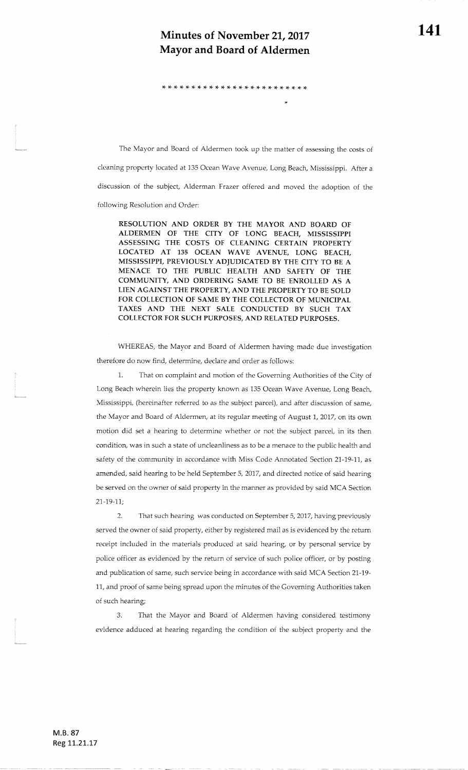# Minutes of November 21, 2017  $\hspace{1cm} 141$ Mayor and Board of Aldermen

\* \* rt rt \* \* \* )f \* rF \* \* \* rf )T rF \* \* rF rt rg rt \* \* rf

The Mayor and Board of Aldermen took up the matter of assessing the costs of

cleaning property located at 135 Ocean Wave Avenue, Long Beach, Mississippi. After adiscussion of the subject, Alderman Frazer offered and moved the adoption of thefollowing Resolution and Order:

RESOLUTION AND ORDER BY THE MAYOR AND BOARD OF ALDERMEN OF THE CITY OF LONG BEACH, MISSISSIPPIASSESSING THE COSTS OF CLEANING CERTAIN PROPERTY LOCATED AT 135 OCEAN WAVE AVENUE, LONG BEACH MISSISSPPI, PREVIOUSLY ADIUDICATED BY THE CITY TO BE A MENACE TO THE PUBLIC HEALTH AND SAFETY OF THE COMMUNITY, AND ORDERING SAME TO BE ENROLLED A5 A LIEN AGAINST THE PROPERTY, AND THE PROPERTY TO BE SOLD FOR COLLECTION OF SAME BY THE COLLECTOR OF MUNICIPAL TAXES AND THE NEXT SALE CONDUCTED BY SUCH TAXCOLLECTOR FOR SUCH PURPOSES, AND RELATED PURPOSES.

WHEREAS, the Mayor and Board of Aldermen having made due investigation therefore do now find, determine, declare and order as follows:

1. That on complaint and motion of the Governing Authorities of the City of Long Beach wherein lies the property known as 135 Ocean Wave Avenue, Long Beach, Mississippi, (hereinafter referred to as the subject parcel), and after discussion of same,the Mayor and Board of Aldermen, at its regular meeting of August 7,2017, on its ownmotion did set a hearing to determine whether or not the subject parcel, in its then condition, was in such a state of uncleanliness as to be a menace to the public health andsafety of the community in accordance with Miss Code Annotated Section 21-19-11, as amended, said hearing to be held September 5,2017, and directed notice of said hearingbe served on the owner of said property in the manner as provided by said MCA Section27-19-7L;

2. That such hearing was conducted on September 5, 2017, having previously served the owner of said property, either by registered mail as is evidenced by the returnreceipt included in the materials produced at said hearing, or by personal service by police officer as evidenced by the retum of service of such police officer, or by postingand publication of same, such service being in accordance with said MCA Section 21-19-11, and proof of same being spread upon the minutes of the Governing Authorities takenof such hearing;

3. That the Mayor and Board of Aldermen having considered testimonyevidence adduced at hearing regarding the condition of the subject property and the

f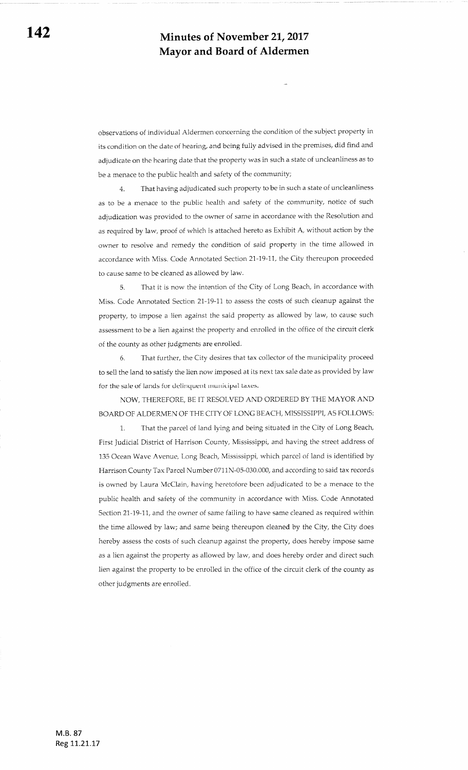observations of individual Aldermen concerning the condition of the subject properfy in its condition on the date of hearing, and being fully advised in the premises, did find and adjudicate on the hearing date that the property was in such a state of uncleanliness as to be a menace to the public health and safety of the community;

4- That having adjudicated such property to be in such a state of uncleanliness as to be a menace to the public health and safety of the community, nolice of such adjudication was provided to the owner of same in accordance with the Resolution and as required by law, proof of which is attached hereto as Exhibit A, without action by the owner to resolve and remedy the condition of said property in the time allowed in accordance with Miss. Code Annotated Section 21-19-11, the City thereupon proceeded to cause same to be cleaned as allowed by law.

5. That it is now the intention of the City of Long Beach, in accordance with Miss. Code Annotated Section 21-19-11 to assess the costs of such cleanup against the property, to impose a lien against the said property as allowed by law, to cause such assessment to be a lien against the property and enrolled in the office of the circuit clerk of the county as other judgments are enrolled.

6. That further, the City desires that tax collector of the municipality proceed to sell the land to satisfy the lien now imposed at its next tax sale date as provided by law for the sale of lands for delinquent municipal taxes.

NOW, THEREFORE, BE IT RESOLVED AND ORDERED BY THE MAYOR AND BOARD OF ALDERMEN OF THE CITY OF LONG BEACH, MISSISSIPPI, AS FOLLOWS:

1. That the parcel of land lying and being situated in the City of Long Beach, First Judicial District of Harrison County, Mississippi, and having the street address of <sup>135</sup>Ocean Wave Avenue, Long Beach, Mississippi, which parcel of land is identified by Harrison County Tax Parcel Number 0711N-05-030.000, and according to said tax records is owned by Laura McClain, having heretofore been adjudicated to be a menace to the public health and safety of the community in accordance with Miss. Code Annotated Section 21-19-11, and the owner of same failing to have same cleaned as required within the time allowed by law; and same being thereupon cleaned by the City, the City does hereby assess the costs of such cleanup against the property, does hereby impose same as a lien against ihe property as allowed by law, and does hereby order and direct such lien against the property to be enrolled in the office of the circuit clerk of the county as other judgments are enrolled.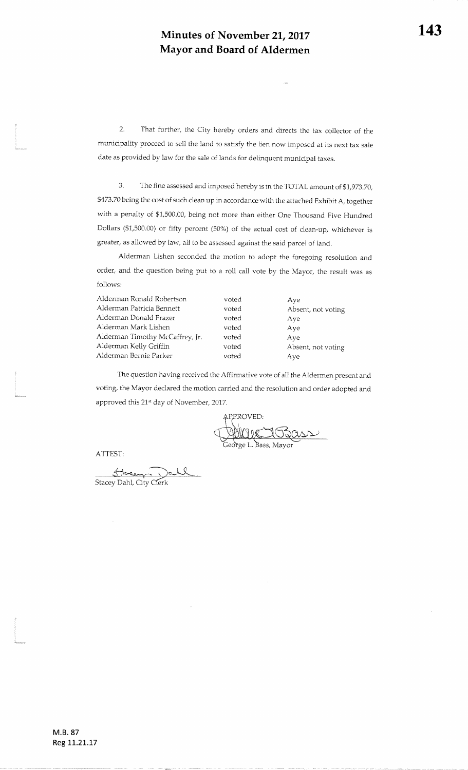2. That further, the City hereby orders and directs the tax collector of themunicipality proceed to sell the land to satisfy the lien now imposed at its next tax saledate as provided by law for the sale of lands for delinquent municipal taxes.

3. The fine assessed and imposed hereby is in the TOTAL amount of \$1,973.70, \$473.70 being the cost of such clean up in accordance with the attached Exhibit A, together with a penalty of \$1,500.00, being not more than either One Thousand Five Hundred Dollars (\$1,500.00) or fifty percent (50%) of the actual cost of clean-up, whichever is greater, as allowed by law, all to be assessed against the said parcel of land.

Alderman Lishen seconded the motion to adopt the foregoing resolution andorder, and the question being put to a roll call vote by the Mayor, the result was asfollows:

| Alderman Ronald Robertson       | voted | Ave                |
|---------------------------------|-------|--------------------|
| Alderman Patricia Bennett       | voted | Absent, not voting |
| Alderman Donald Frazer          | voted | Aye                |
| Alderman Mark Lishen            | voted | Aye                |
| Alderman Timothy McCaffrey, Jr. | voted | Ave                |
| Alderman Kelly Griffin          | voted | Absent, not voting |
| Alderman Bernie Parker          | voted | Ave                |
|                                 |       |                    |

The question having received the Affirmative vote of all the Aldermen present andvoting, the Mayor declared the motion carried and the resolution and order adopted and approved this 21st day of November, 2017.

APPROVED: L. Bass, Mayor

ATTEST

Stacey Dahl, City Clerk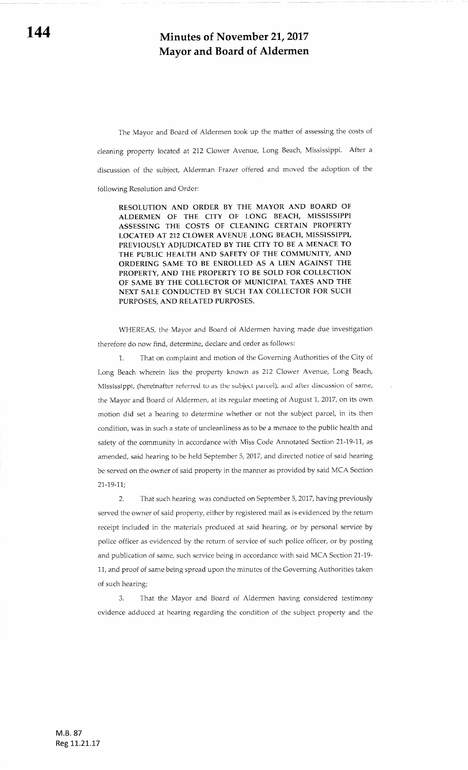The Mayor and Board of Aldermen took up the matter of assessing the costs of cleaning property located at 212 Clower Avenue, Long Beach, Mississippi. After a discussion of the subject, Alderman Frazer offered and moved the adoption of the following Resolution and Order:

RESOLUTION AND ORDER BY THE MAYOR AND BOARD OF ALDERMEN OF THE CITY OF LONG BEACH, MISSISSIPPI ASSESSING THE COSTS OF CLEANING CERTAIN PROPERTY LOCATED AT 212 CLOWER AVENUE,LONG BEACH. MISSISSPPI, PREVIOUSLY ADJUDICATED BY THE CITY TO BE A MENACE TO THE PUBLIC HEALTH AND SAFETY OF THE COMMUNITY, AND ORDERING SAME TO BE ENROLLED AS A LIEN AGAINST THE PROPERTY, AND THE PROPERTY TO BE SOLD FOR COLLECTION OF SAME BY THE COLLECTOR OF MUNICIPAL TAXES AND THE NEXT SALE CONDUCTED BY SUCH TAX COLLECTOR FOR SUCH PURPOSES, AND RELATED PURPOSES.

WHEREAS, the Mayor and Board of Aldermen having made due investigation therefore do now find, determine, declare and order as follows:

1.. That on complaint and motion of the Governing Authorities of the City of Long Beach wherein lies the property known as 212 Clower Avenue, Long Beach, Mississippi, (hereinafter referred to as the subject parcei), and after discussion of same, the Mayor and Board of Aldermen, at its regular meeting of August 1, 2017, on its own motion did set a hearing to determine whether or not the subject parcel, in its then condition, was in such a state of uncleanliness as to be a menace to the public health and safety of the community in accordance with Miss Code Annotated Section 21-19-11, as amended, said hearing to be held September 5, 2017, and directed notice of said hearing be served on the owner of said propcrry in the manner as provided by said MCA Section 21-19-17;

2. That such hearing was conducted on September 5, 2017, having previously served the owner of said property, either by registered mail as is evidenced by the return receipt included in the materials produced at said hearing, or by personal service by police officer as evidenced by the return of service of such police officer, or by posting and publication of same, such service being in accordance with said MCA Section 21-19- 11, and proof of same being spread upon the minutes of the Goveming Authorities taken of such hearing;

3. That the Mayor and Board of Aldermen having considered testimony evidence adduced at hearing regarding the condition of the subjeci property and the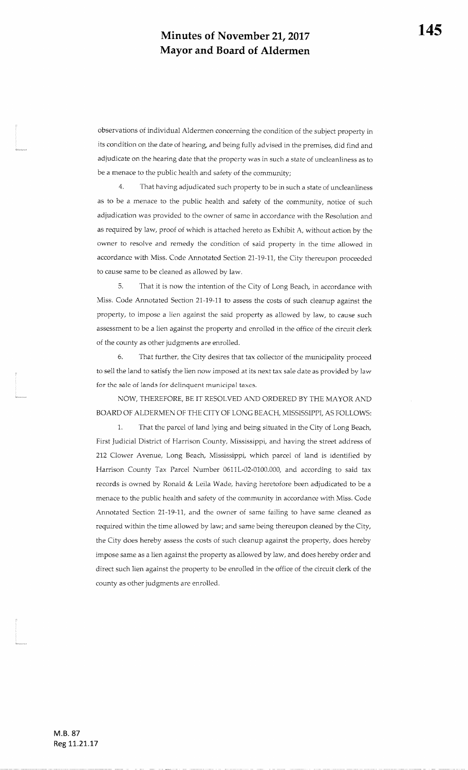observations of individuai Aldermen concerning the condition of the subjeci property inits condition on the date of hearing, and being fully advised in the premises, did find and adjudicate on the hearing date that the property was in such a state of uncleanliness as tobe a menace to the public health and safety of the communify;

4. That having adjudicated such property to be in such a state of uncleanlinessas to be a menace to the public health and safety of the community, notice of suchadjudication was provided to the owner of same in accordance with the Resolution and as required by law, proof of which is attached hereto as Exhibit A, without action by theowner to resolve and remedy the condition of said property in the time allowed inaccordance with Miss. Code Annotated Section 21-19-11, the City thereupon proceeded to cause same to be cleaned as allowed by law.

5. That it is now the intention of the City of Long Beach, in accordance withMiss. Code Annotated Section 21-19-11 to assess the costs of such cleanup against theproperty, to impose a lien against the said property as allowed by law, to cause such assessment to be a lien against the property and enrolled in the office of the circuit clerkof the county as other judgments are enrolled.

6. That further, the City desires that tax collector of the municipality proceed to sell the land to satisfy the lien now imposed at its next tax sale date as provided by law for the sale of lands for delinquent municipal taxes.

NOW, THEREFORE, BE IT RESOLVED AND ORDERED BY THE MAYOR ANDBOARD OF ALDERMEN OF THE CITY OF LONG BEACH, MISSISSIPPI, AS FOLLOWS:

1. That the parcel of land lying and being situated in the City of Long Beach, First Judicial District of Harrison County, Mississippi, and having the street address of212 Clower Avenue, Long Beach, Mississippi, which parcel of land is identified by Harrison County Tax Parcel Number 0611L-02-0100.000, and according to said tax records is owned by Ronald & Leila Wade, having heretofore been adjudicated to be amenace to the public health and safefy of the community in accordance with Miss. CodeAnnotated Section 21-19-11, and the owner of same failing to have same cleaned as required within the time allowed by law; and same being thereupon cleaned by the City,the Cify does hereby assess the costs of such cleanup against the properfy, does herebyimpose same as a lien against the property as allowed by law, and does hereby order anddirect such iien against the property to be enrolled in the office of the circuit clerk of thecounty as other iudgments are enrolled.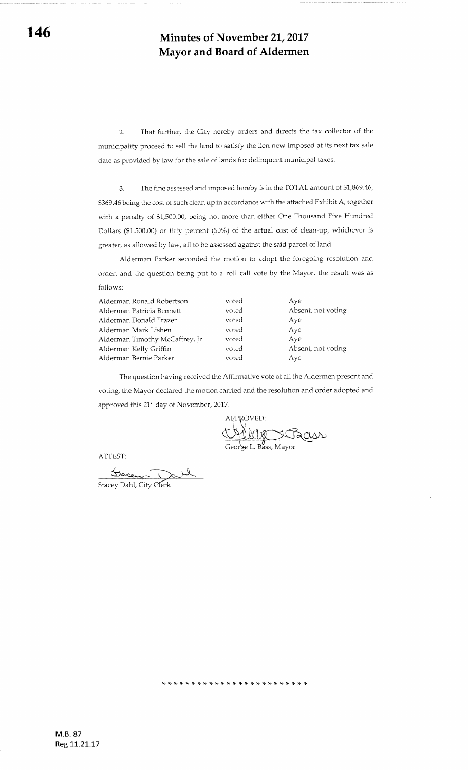2. That further, the City hereby orders and directs the tax collector of the municipality proceed to sell the land to satisfy the lien now imposed at its next tax sale date as provided by law for the sale of iands for delinquent municipal taxes.

3. The fine assessed and imposed hereby is in the TOTAL amount of \$1,869.46, \$369.45 being the cost of such clean up in accordance with the attached Exhibit A, together with a penalty of \$1,500.00, being not more than either One Thousand Five Hundred Dollars (\$1,500.00) or fifry percent (50%) of the actual cost of clean-up, whichever is greater, as allowed by law, all to be assessed against the said parcel of land.

Alderman Parker seconded the motion to adopt the foregoing resolution and order, and the question being put to a roll call vote by the Mayor, the result was as follows:

| Alderman Ronald Robertson       | voted | Ave                |
|---------------------------------|-------|--------------------|
| Alderman Patricia Bennett       | voted | Absent, not voting |
| Alderman Donald Frazer          | voted | Aye                |
| Alderman Mark Lishen            | voted | Aye                |
| Alderman Timothy McCaffrey, Jr. | voted | Ave                |
| Alderman Kelly Griffin          | voted | Absent, not voting |
| Alderman Bernie Parker          | voted | Aye                |
|                                 |       |                    |

The question having received the Affirmative vote of all the Aldermen present and voting, the Mayor declared the motion carried and the resolution and order adopted and approved this 21<sup>st</sup> day of November, 2017.

)F :F rT rF \* rT \* :F rF \* \* \* \* \* \* \* rF \* \* )t \* \* ri rF :F

APPROVED: George L. Bass, Mayor

ATTEST:

Stacey Dahl, City Clerk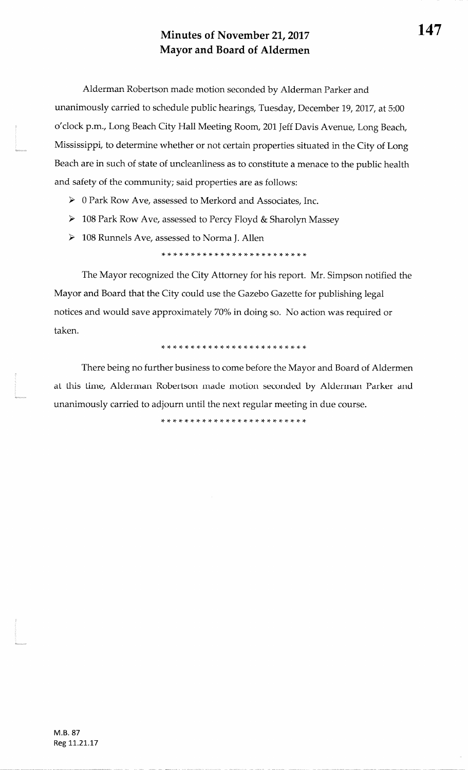Alderman Robertson made motion seconded by Alderman Parker andunanimously carried to schedule public hearings, Tuesday, December 19,2017, at 5:00o'clock p.m., Long Beach City Hall Meeting Room, 201 Jeff Davis Avenue, Long Beach, Mississippi, to determine whether or not certain properties situated in the City of LongBeach are in such of state of uncleanliness as to constifute a menace to the public heatthand safety of the community; said properties are as follows:

 $\triangleright$  0 Park Row Ave, assessed to Merkord and Associates, Inc.

- $\geq 108$  Park Row Ave, assessed to Percy Floyd & Sharolyn Massey
- $\geq 108$  Runnels Ave, assessed to Norma J. Allen

\* \* \* \* \* \* \* \* )F )F rF rT \* \* \* rt \* r+ r+ rF rT )F rF )F )F

The Mayor recognized the City Attorney for his report. Mr. Simpson notified theMayor and Board that the City could use the Gazebo Gazette for publishing legal notices and would save approximately 70% in doing so. No action was required ortaken.

\* \* \* r+ \* )t {- rt rl r+ \* rt rF )F \* \* r(. \* \* \* \* \* rF \* \*

There being no further business to come before the Mayor and Board of Aldermenat this time, Alderman Robertson made motion seconded by Alderman Parker andunanimously carried to adjourn until the next regular meeting in due course.

\* \* )F )F rF rt \* \* \* \* \* \* \* \* rF \* )F \* \* \* \* \* \* \* \*